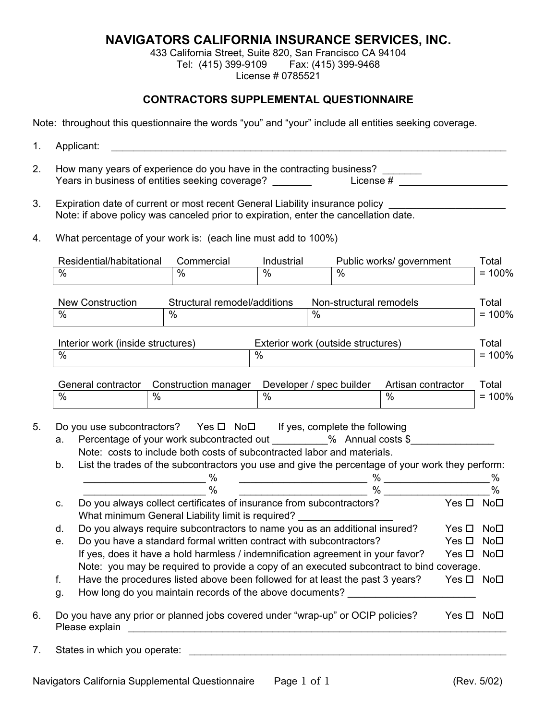## **NAVIGATORS CALIFORNIA INSURANCE SERVICES, INC.**

433 California Street, Suite 820, San Francisco CA 94104 Tel: (415) 399-9109 Fax: (415) 399-9468 License # 0785521

## **CONTRACTORS SUPPLEMENTAL QUESTIONNAIRE**

Note: throughout this questionnaire the words "you" and "your" include all entities seeking coverage.

- 1. Applicant:  $\blacksquare$
- 2. How many years of experience do you have in the contracting business? \_\_\_\_\_\_\_ The contribution of experience and you have in the contracting business?  $\frac{1}{\sqrt{1-\frac{1}{n}}\sqrt{1-\frac{1}{n}}}$
- 3. Expiration date of current or most recent General Liability insurance policy Note: if above policy was canceled prior to expiration, enter the cancellation date.
- 4. What percentage of your work is: (each line must add to 100%)

|          | Residential/habitational                                                                                                                                                                                                                                                | Commercial                                                                                                                | Industrial                                                                                                                                                                                                                           |                         | Public works/ government                                                                                                                                                                                                                                                                                                                                                                                                                                                                                                                             |               | Total                          |
|----------|-------------------------------------------------------------------------------------------------------------------------------------------------------------------------------------------------------------------------------------------------------------------------|---------------------------------------------------------------------------------------------------------------------------|--------------------------------------------------------------------------------------------------------------------------------------------------------------------------------------------------------------------------------------|-------------------------|------------------------------------------------------------------------------------------------------------------------------------------------------------------------------------------------------------------------------------------------------------------------------------------------------------------------------------------------------------------------------------------------------------------------------------------------------------------------------------------------------------------------------------------------------|---------------|--------------------------------|
| $\%$     |                                                                                                                                                                                                                                                                         | $\frac{0}{0}$                                                                                                             | $\frac{0}{0}$                                                                                                                                                                                                                        | $\frac{0}{0}$           |                                                                                                                                                                                                                                                                                                                                                                                                                                                                                                                                                      |               | $= 100%$                       |
|          | New Construction                                                                                                                                                                                                                                                        | Structural remodel/additions                                                                                              |                                                                                                                                                                                                                                      | Non-structural remodels |                                                                                                                                                                                                                                                                                                                                                                                                                                                                                                                                                      |               | Total                          |
| $\%$     |                                                                                                                                                                                                                                                                         | $\frac{1}{2}$                                                                                                             | $\frac{0}{0}$                                                                                                                                                                                                                        |                         |                                                                                                                                                                                                                                                                                                                                                                                                                                                                                                                                                      |               | $= 100%$                       |
|          | Interior work (inside structures)                                                                                                                                                                                                                                       |                                                                                                                           | Exterior work (outside structures)                                                                                                                                                                                                   |                         |                                                                                                                                                                                                                                                                                                                                                                                                                                                                                                                                                      |               | Total                          |
| $\%$     |                                                                                                                                                                                                                                                                         |                                                                                                                           | $\sqrt{2}$                                                                                                                                                                                                                           |                         |                                                                                                                                                                                                                                                                                                                                                                                                                                                                                                                                                      |               | $= 100%$                       |
|          | General contractor                                                                                                                                                                                                                                                      | Construction manager                                                                                                      | Developer / spec builder                                                                                                                                                                                                             |                         | Artisan contractor                                                                                                                                                                                                                                                                                                                                                                                                                                                                                                                                   |               | Total                          |
| $\%$     | $\frac{0}{0}$                                                                                                                                                                                                                                                           |                                                                                                                           | $\frac{0}{2}$                                                                                                                                                                                                                        |                         | $\frac{0}{2}$                                                                                                                                                                                                                                                                                                                                                                                                                                                                                                                                        |               | $= 100%$                       |
| a.<br>b. | Do you use subcontractors? Yes $\Box$ No $\Box$ If yes, complete the following<br>Percentage of your work subcontracted out __________% Annual costs \$____________<br>List the trades of the subcontractors you use and give the percentage of your work they perform: | Note: costs to include both costs of subcontracted labor and materials.                                                   |                                                                                                                                                                                                                                      |                         |                                                                                                                                                                                                                                                                                                                                                                                                                                                                                                                                                      |               |                                |
|          |                                                                                                                                                                                                                                                                         |                                                                                                                           |                                                                                                                                                                                                                                      |                         |                                                                                                                                                                                                                                                                                                                                                                                                                                                                                                                                                      |               |                                |
|          |                                                                                                                                                                                                                                                                         | %<br>$\%$                                                                                                                 | <u> 1989 - Johann Stoff, deutscher Stoffen und der Stoffen und der Stoffen und der Stoffen und der Stoffen und der Stoffen und der Stoffen und der Stoffen und der Stoffen und der Stoffen und der Stoffen und der Stoffen und d</u> |                         | % $\begin{array}{ c c c c c }\hline \rule{0pt}{1ex}\scriptstyle{\bullet} & & \\\hline \rule{0pt}{1ex}\scriptstyle{\bullet} & & \\\hline \rule{0pt}{1ex}\scriptstyle{\bullet} & & \\\hline \rule{0pt}{1ex}\scriptstyle{\bullet} & & \\\hline \rule{0pt}{1ex}\scriptstyle{\bullet} & & \\\hline \rule{0pt}{1ex}\scriptstyle{\bullet} & & \\\hline \rule{0pt}{1ex}\scriptstyle{\bullet} & & \\\hline \rule{0pt}{1ex}\scriptstyle{\bullet} & & \\\hline \rule{0pt}{1ex}\scriptstyle{\bullet} & & \\\hline \rule{0pt}{1ex}\scriptstyle{\bullet} & & \\\h$ |               | $\frac{0}{0}$<br>$\frac{0}{0}$ |
| C.       |                                                                                                                                                                                                                                                                         | Do you always collect certificates of insurance from subcontractors?<br>What minimum General Liability limit is required? |                                                                                                                                                                                                                                      |                         |                                                                                                                                                                                                                                                                                                                                                                                                                                                                                                                                                      | Yes □ No□     |                                |
| d.       |                                                                                                                                                                                                                                                                         | Do you always require subcontractors to name you as an additional insured?                                                |                                                                                                                                                                                                                                      |                         |                                                                                                                                                                                                                                                                                                                                                                                                                                                                                                                                                      | Yes $\square$ |                                |
| e.       |                                                                                                                                                                                                                                                                         | Do you have a standard formal written contract with subcontractors?                                                       |                                                                                                                                                                                                                                      |                         |                                                                                                                                                                                                                                                                                                                                                                                                                                                                                                                                                      | Yes □ No□     | NoD                            |
|          |                                                                                                                                                                                                                                                                         | If yes, does it have a hold harmless / indemnification agreement in your favor?                                           |                                                                                                                                                                                                                                      |                         |                                                                                                                                                                                                                                                                                                                                                                                                                                                                                                                                                      | Yes □ No□     |                                |
|          |                                                                                                                                                                                                                                                                         | Note: you may be required to provide a copy of an executed subcontract to bind coverage.                                  |                                                                                                                                                                                                                                      |                         |                                                                                                                                                                                                                                                                                                                                                                                                                                                                                                                                                      |               |                                |
| f.       |                                                                                                                                                                                                                                                                         | Have the procedures listed above been followed for at least the past 3 years?                                             |                                                                                                                                                                                                                                      |                         |                                                                                                                                                                                                                                                                                                                                                                                                                                                                                                                                                      | Yes □ No□     |                                |
| g.       |                                                                                                                                                                                                                                                                         | How long do you maintain records of the above documents? _______________________                                          |                                                                                                                                                                                                                                      |                         |                                                                                                                                                                                                                                                                                                                                                                                                                                                                                                                                                      |               |                                |

7. States in which you operate: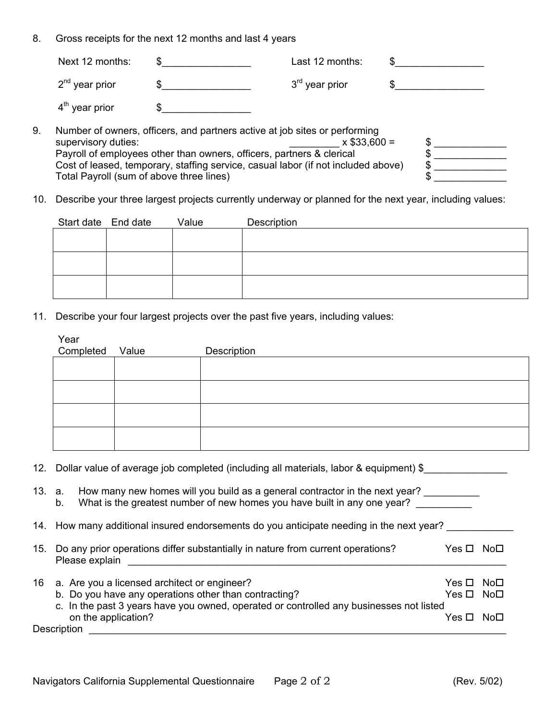8. Gross receipts for the next 12 months and last 4 years

|    | Next 12 months:                          |                                                                                   | Last 12 months:  |   |  |
|----|------------------------------------------|-----------------------------------------------------------------------------------|------------------|---|--|
|    | $2nd$ year prior                         |                                                                                   | $3rd$ year prior |   |  |
|    | $4th$ year prior                         |                                                                                   |                  |   |  |
| 9. | supervisory duties:                      | Number of owners, officers, and partners active at job sites or performing        | $x $33,600 =$    |   |  |
|    |                                          | Payroll of employees other than owners, officers, partners & clerical             |                  |   |  |
|    |                                          |                                                                                   |                  |   |  |
|    |                                          | Cost of leased, temporary, staffing service, casual labor (if not included above) |                  | S |  |
|    | Total Payroll (sum of above three lines) |                                                                                   |                  |   |  |

10. Describe your three largest projects currently underway or planned for the next year, including values:

| Start date End date | Value | Description |
|---------------------|-------|-------------|
|                     |       |             |
|                     |       |             |
|                     |       |             |
|                     |       |             |
|                     |       |             |
|                     |       |             |

11. Describe your four largest projects over the past five years, including values:

| Year<br>Completed                  | Value                                           | Description                                                                                                                                                                                                                                                                                                           |                     |                                    |
|------------------------------------|-------------------------------------------------|-----------------------------------------------------------------------------------------------------------------------------------------------------------------------------------------------------------------------------------------------------------------------------------------------------------------------|---------------------|------------------------------------|
|                                    |                                                 |                                                                                                                                                                                                                                                                                                                       |                     |                                    |
|                                    |                                                 |                                                                                                                                                                                                                                                                                                                       |                     |                                    |
|                                    |                                                 |                                                                                                                                                                                                                                                                                                                       |                     |                                    |
|                                    |                                                 |                                                                                                                                                                                                                                                                                                                       |                     |                                    |
|                                    |                                                 | 12. Dollar value of average job completed (including all materials, labor & equipment) \$                                                                                                                                                                                                                             |                     |                                    |
| b.                                 |                                                 | 13. a. How many new homes will you build as a general contractor in the next year?<br>What is the greatest number of new homes you have built in any one year?                                                                                                                                                        |                     |                                    |
|                                    |                                                 | 14. How many additional insured endorsements do you anticipate needing in the next year?                                                                                                                                                                                                                              |                     |                                    |
|                                    |                                                 | 15. Do any prior operations differ substantially in nature from current operations?<br>Please explain and the state of the state of the state of the state of the state of the state of the state of the state of the state of the state of the state of the state of the state of the state of the state of the stat | $Yes \Box No \Box$  |                                    |
|                                    | 16 a. Are you a licensed architect or engineer? | b. Do you have any operations other than contracting?                                                                                                                                                                                                                                                                 | Yes $\Box$<br>Yes □ | No <sub>1</sub><br>No <sub>1</sub> |
|                                    |                                                 | c. In the past 3 years have you owned, operated or controlled any businesses not listed                                                                                                                                                                                                                               |                     |                                    |
| on the application?<br>Description |                                                 |                                                                                                                                                                                                                                                                                                                       | Yes □ No□           |                                    |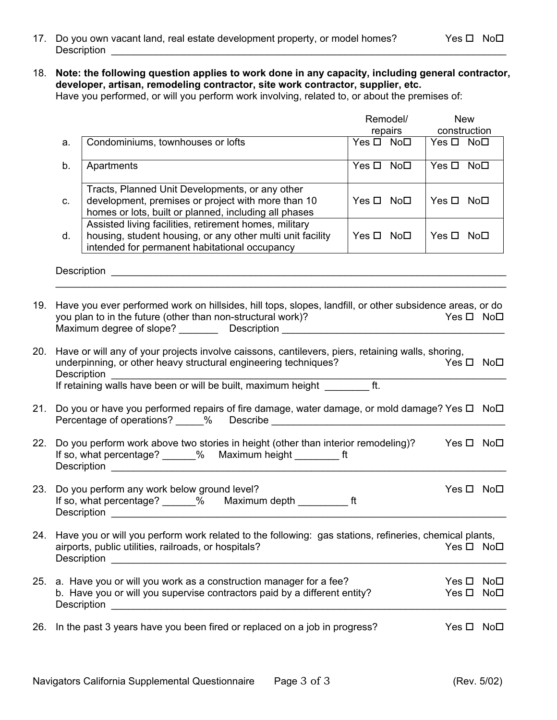- 17. Do you own vacant land, real estate development property, or model homes? Yes  $\Box$  No $\Box$ Description **Description**
- 18. **Note: the following question applies to work done in any capacity, including general contractor, developer, artisan, remodeling contractor, site work contractor, supplier, etc.** Have you performed, or will you perform work involving, related to, or about the premises of:

|     |             |                                                                                                                                                                                                                                                      |                    | Remodel/ | <b>New</b>         |                        |
|-----|-------------|------------------------------------------------------------------------------------------------------------------------------------------------------------------------------------------------------------------------------------------------------|--------------------|----------|--------------------|------------------------|
|     |             |                                                                                                                                                                                                                                                      |                    | repairs  | construction       |                        |
|     | a.          | Condominiums, townhouses or lofts                                                                                                                                                                                                                    | Yes □ No□          |          | Yes □ No□          |                        |
|     | b.          | Apartments                                                                                                                                                                                                                                           | Yes □ No□          |          | $Yes \Box No \Box$ |                        |
|     | C.          | Tracts, Planned Unit Developments, or any other<br>development, premises or project with more than 10<br>homes or lots, built or planned, including all phases                                                                                       | $Yes \Box No \Box$ |          | $Yes \Box No \Box$ |                        |
|     | d.          | Assisted living facilities, retirement homes, military<br>housing, student housing, or any other multi unit facility<br>intended for permanent habitational occupancy                                                                                | $Yes \Box No \Box$ |          | $Yes \Box No \Box$ |                        |
|     |             | Description entrance and the contract of the contract of the contract of the contract of the contract of the contract of the contract of the contract of the contract of the contract of the contract of the contract of the c                       |                    |          |                    |                        |
| 19. |             | Have you ever performed work on hillsides, hill tops, slopes, landfill, or other subsidence areas, or do                                                                                                                                             |                    |          |                    |                        |
|     |             | you plan to in the future (other than non-structural work)?<br>Maximum degree of slope? ___________ Description ________________________________                                                                                                     |                    |          |                    | Yes □ No□              |
| 20. | Description | Have or will any of your projects involve caissons, cantilevers, piers, retaining walls, shoring,<br>underpinning, or other heavy structural engineering techniques?<br>If retaining walls have been or will be built, maximum height __________ ft. |                    |          |                    | $Yes \Box No \Box$     |
| 21. |             | Do you or have you performed repairs of fire damage, water damage, or mold damage? Yes □ No□                                                                                                                                                         |                    |          |                    |                        |
| 22. |             | Do you perform work above two stories in height (other than interior remodeling)?<br>If so, what percentage? ______% Maximum height __________ ft                                                                                                    |                    |          |                    | $Yes \Box No \Box$     |
| 23. | Description | Do you perform any work below ground level?<br>If so, what percentage? ______% Maximum depth ____________ ft                                                                                                                                         |                    |          |                    | $Yes \Box No \Box$     |
|     |             | 24. Have you or will you perform work related to the following: gas stations, refineries, chemical plants,<br>airports, public utilities, railroads, or hospitals?                                                                                   |                    |          |                    | Yes □ No□              |
| 25. |             | a. Have you or will you work as a construction manager for a fee?<br>b. Have you or will you supervise contractors paid by a different entity?                                                                                                       |                    |          |                    | Yes □ No□<br>Yes □ No□ |
|     |             | 26. In the past 3 years have you been fired or replaced on a job in progress?                                                                                                                                                                        |                    |          |                    | Yes □ No□              |